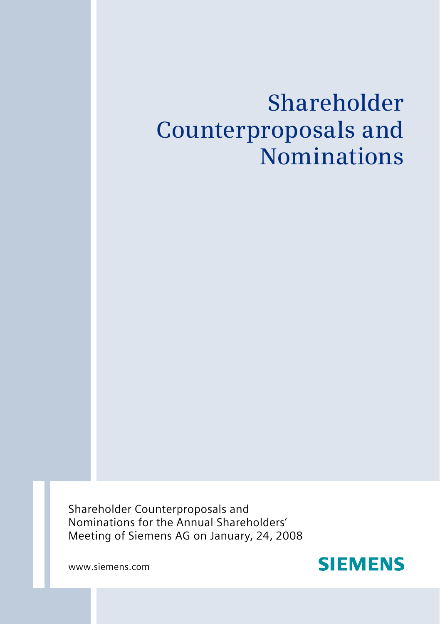# **Shareholder Counterproposals and Nominations**

Shareholder Counterproposals and Nominations for the Annual Shareholders' Meeting of Siemens AG on January, 24, 2008

www.siemens.com

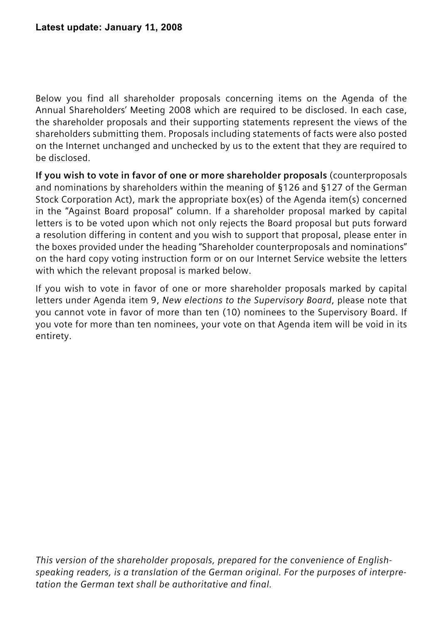Below you find all shareholder proposals concerning items on the Agenda of the Annual Shareholders' Meeting 2008 which are required to be disclosed. In each case, the shareholder proposals and their supporting statements represent the views of the shareholders submitting them. Proposals including statements of facts were also posted on the Internet unchanged and unchecked by us to the extent that they are required to be disclosed.

**If you wish to vote in favor of one or more shareholder proposals** (counterproposals and nominations by shareholders within the meaning of §126 and §127 of the German Stock Corporation Act), mark the appropriate box(es) of the Agenda item(s) concerned in the "Against Board proposal" column. If a shareholder proposal marked by capital letters is to be voted upon which not only rejects the Board proposal but puts forward a resolution differing in content and you wish to support that proposal, please enter in the boxes provided under the heading "Shareholder counterproposals and nominations" on the hard copy voting instruction form or on our Internet Service website the letters with which the relevant proposal is marked below.

If you wish to vote in favor of one or more shareholder proposals marked by capital letters under Agenda item 9, *New elections to the Supervisory Board*, please note that you cannot vote in favor of more than ten (10) nominees to the Supervisory Board. If you vote for more than ten nominees, your vote on that Agenda item will be void in its entirety.

*This version of the shareholder proposals, prepared for the convenience of Englishspeaking readers, is a translation of the German original. For the purposes of interpretation the German text shall be authoritative and final.*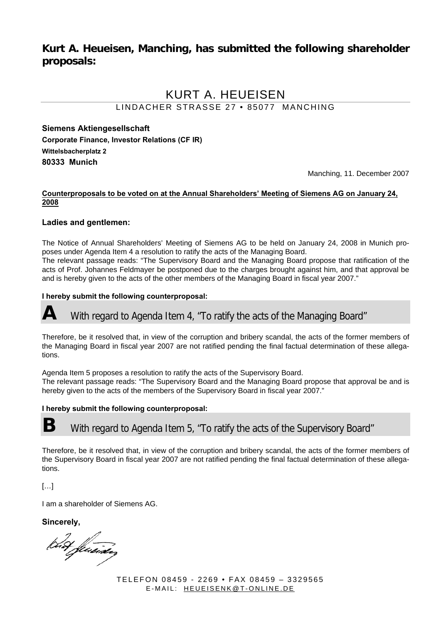### **Kurt A. Heueisen, Manching, has submitted the following shareholder proposals:**

# KURT A. HEUEISEN

LINDACHER STRASSE 27 • 85077 MANCHING

**Siemens Aktiengesellschaft Corporate Finance, Investor Relations (CF IR) Wittelsbacherplatz 2 80333 Munich** 

Manching, 11. December 2007

#### **Counterproposals to be voted on at the Annual Shareholders' Meeting of Siemens AG on January 24, 2008**

#### **Ladies and gentlemen:**

The Notice of Annual Shareholders' Meeting of Siemens AG to be held on January 24, 2008 in Munich proposes under Agenda Item 4 a resolution to ratify the acts of the Managing Board. The relevant passage reads: "The Supervisory Board and the Managing Board propose that ratification of the acts of Prof. Johannes Feldmayer be postponed due to the charges brought against him, and that approval be and is hereby given to the acts of the other members of the Managing Board in fiscal year 2007."

#### **I hereby submit the following counterproposal:**

# With regard to Agenda Item 4, "To ratify the acts of the Managing Board"

Therefore, be it resolved that, in view of the corruption and bribery scandal, the acts of the former members of the Managing Board in fiscal year 2007 are not ratified pending the final factual determination of these allegations.

Agenda Item 5 proposes a resolution to ratify the acts of the Supervisory Board.

The relevant passage reads: "The Supervisory Board and the Managing Board propose that approval be and is hereby given to the acts of the members of the Supervisory Board in fiscal year 2007."

#### **I hereby submit the following counterproposal:**

**B** With regard to Agenda Item 5, "To ratify the acts of the Supervisory Board"

Therefore, be it resolved that, in view of the corruption and bribery scandal, the acts of the former members of the Supervisory Board in fiscal year 2007 are not ratified pending the final factual determination of these allegations.

[…]

I am a shareholder of Siemens AG.

**Sincerely,** 

Kut fluender

TELEFON 08459 - 2269 • FAX 08459 – 3329565 E-MAIL: HEUEISENK@T-ONLINE.DE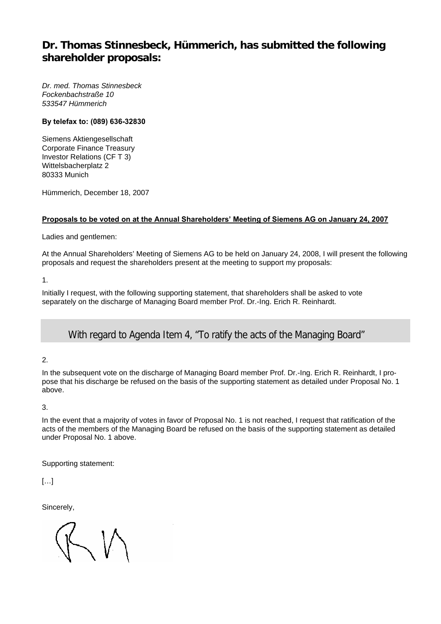## **Dr. Thomas Stinnesbeck, Hümmerich, has submitted the following shareholder proposals:**

*Dr. med. Thomas Stinnesbeck Fockenbachstraße 10 533547 Hümmerich* 

#### **By telefax to: (089) 636-32830**

Siemens Aktiengesellschaft Corporate Finance Treasury Investor Relations (CF T 3) Wittelsbacherplatz 2 80333 Munich

Hümmerich, December 18, 2007

#### **Proposals to be voted on at the Annual Shareholders' Meeting of Siemens AG on January 24, 2007**

Ladies and gentlemen:

At the Annual Shareholders' Meeting of Siemens AG to be held on January 24, 2008, I will present the following proposals and request the shareholders present at the meeting to support my proposals:

1.

Initially I request, with the following supporting statement, that shareholders shall be asked to vote separately on the discharge of Managing Board member Prof. Dr.-Ing. Erich R. Reinhardt.

### **A** With regard to Agenda Item 4, "To ratify the acts of the Managing Board"

#### 2.

In the subsequent vote on the discharge of Managing Board member Prof. Dr.-Ing. Erich R. Reinhardt, I propose that his discharge be refused on the basis of the supporting statement as detailed under Proposal No. 1 above.

#### 3.

In the event that a majority of votes in favor of Proposal No. 1 is not reached, I request that ratification of the acts of the members of the Managing Board be refused on the basis of the supporting statement as detailed under Proposal No. 1 above.

Supporting statement:

 $[...]$ 

Sincerely,

 $\diagdown\bigwedge$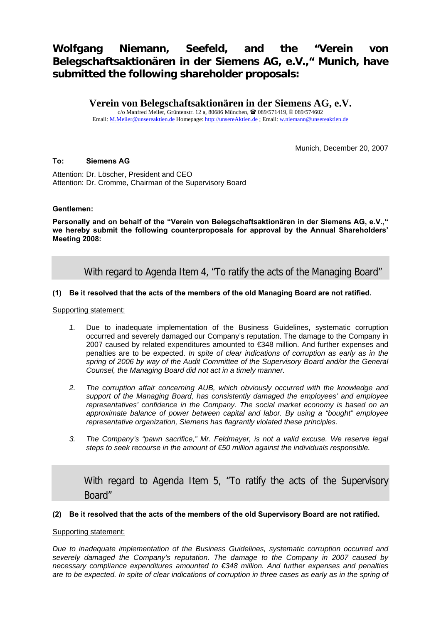# **Wolfgang Niemann, Seefeld, and the "Verein von Belegschaftsaktionären in der Siemens AG, e.V.," Munich, have submitted the following shareholder proposals:**

**Verein von Belegschaftsaktionären in der Siemens AG, e.V.**

c/o Manfred Meiler, Grüntenstr. 12 a, 80686 München, <sup>2</sup> 089/571419, **089/574602** Email: M.Meiler@unsereaktien.de Homepage: http://unsereAktien.de ; Email: w.niemann@unsereaktien.de

Munich, December 20, 2007

#### **To: Siemens AG**

Attention: Dr. Löscher, President and CEO Attention: Dr. Cromme, Chairman of the Supervisory Board

#### **Gentlemen:**

**Personally and on behalf of the "Verein von Belegschaftsaktionären in der Siemens AG, e.V.," we hereby submit the following counterproposals for approval by the Annual Shareholders' Meeting 2008:** 

With regard to Agenda Item 4, "To ratify the acts of the Managing Board"

#### **(1) Be it resolved that the acts of the members of the old Managing Board are not ratified.**

Supporting statement:

- *1.* Due to inadequate implementation of the Business Guidelines, systematic corruption occurred and severely damaged our Company's reputation. The damage to the Company in 2007 caused by related expenditures amounted to €348 million. And further expenses and penalties are to be expected. *In spite of clear indications of corruption as early as in the spring of 2006 by way of the Audit Committee of the Supervisory Board and/or the General Counsel, the Managing Board did not act in a timely manner.*
- *2. The corruption affair concerning AUB, which obviously occurred with the knowledge and support of the Managing Board, has consistently damaged the employees' and employee representatives' confidence in the Company. The social market economy is based on an approximate balance of power between capital and labor. By using a "bought" employee representative organization, Siemens has flagrantly violated these principles.*
- *3. The Company's "pawn sacrifice," Mr. Feldmayer, is not a valid excuse. We reserve legal steps to seek recourse in the amount of €50 million against the individuals responsible.*

**X** With regard to Agenda Item 5, "To ratify the acts of the Supervisory Board"

#### **(2) Be it resolved that the acts of the members of the old Supervisory Board are not ratified.**

#### Supporting statement:

*Due to inadequate implementation of the Business Guidelines, systematic corruption occurred and severely damaged the Company's reputation. The damage to the Company in 2007 caused by necessary compliance expenditures amounted to €348 million. And further expenses and penalties are to be expected. In spite of clear indications of corruption in three cases as early as in the spring of*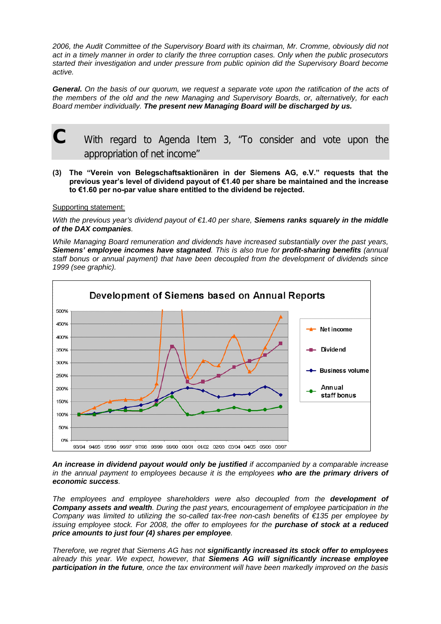*2006, the Audit Committee of the Supervisory Board with its chairman, Mr. Cromme, obviously did not act in a timely manner in order to clarify the three corruption cases. Only when the public prosecutors started their investigation and under pressure from public opinion did the Supervisory Board become active.* 

*General. On the basis of our quorum, we request a separate vote upon the ratification of the acts of the members of the old and the new Managing and Supervisory Boards, or, alternatively, for each Board member individually. The present new Managing Board will be discharged by us.*

# **C** With regard to Agenda Item 3, "To consider and vote upon the appropriation of net income"

**(3) The "Verein von Belegschaftsaktionären in der Siemens AG, e.V." requests that the previous year's level of dividend payout of €1.40 per share be maintained and the increase to €1.60 per no-par value share entitled to the dividend be rejected.** 

Supporting statement:

*With the previous year's dividend payout of €1.40 per share. Siemens ranks squarely in the middle of the DAX companies.* 

*While Managing Board remuneration and dividends have increased substantially over the past years, Siemens' employee incomes have stagnated. This is also true for profit-sharing benefits (annual staff bonus or annual payment) that have been decoupled from the development of dividends since 1999 (see graphic).* 



*An increase in dividend payout would only be justified if accompanied by a comparable increase in the annual payment to employees because it is the employees who are the primary drivers of economic success.* 

*The employees and employee shareholders were also decoupled from the development of Company assets and wealth. During the past years, encouragement of employee participation in the Company was limited to utilizing the so-called tax-free non-cash benefits of €135 per employee by issuing employee stock. For 2008, the offer to employees for the purchase of stock at a reduced price amounts to just four (4) shares per employee.* 

*Therefore, we regret that Siemens AG has not significantly increased its stock offer to employees already this year. We expect, however, that Siemens AG will significantly increase employee participation in the future, once the tax environment will have been markedly improved on the basis*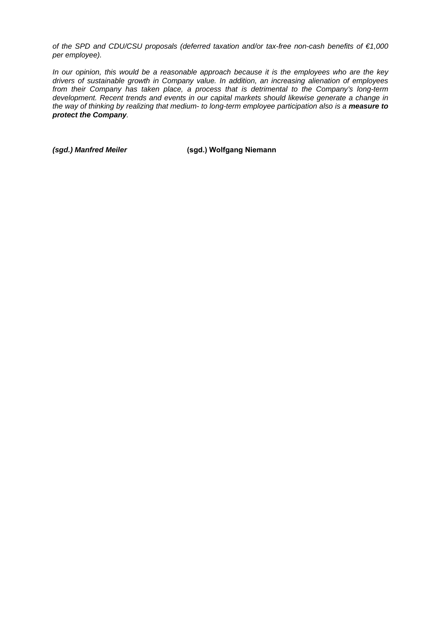*of the SPD and CDU/CSU proposals (deferred taxation and/or tax-free non-cash benefits of €1,000 per employee).* 

*In our opinion, this would be a reasonable approach because it is the employees who are the key drivers of sustainable growth in Company value. In addition, an increasing alienation of employees from their Company has taken place, a process that is detrimental to the Company's long-term development. Recent trends and events in our capital markets should likewise generate a change in the way of thinking by realizing that medium- to long-term employee participation also is a measure to protect the Company.* 

*(sgd.) Manfred Meiler* **(sgd.) Wolfgang Niemann**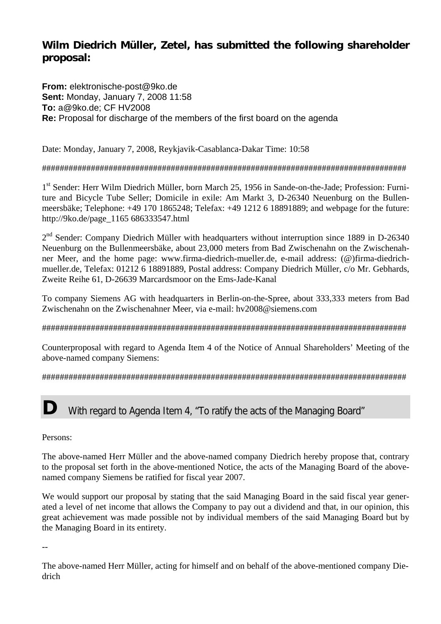# **Wilm Diedrich Müller, Zetel, has submitted the following shareholder proposal:**

**From:** elektronische-post@9ko.de **Sent:** Monday, January 7, 2008 11:58 **To:** a@9ko.de; CF HV2008 **Re:** Proposal for discharge of the members of the first board on the agenda

Date: Monday, January 7, 2008, Reykjavik-Casablanca-Dakar Time: 10:58

### ##################################################################################

1<sup>st</sup> Sender: Herr Wilm Diedrich Müller, born March 25, 1956 in Sande-on-the-Jade; Profession: Furniture and Bicycle Tube Seller; Domicile in exile: Am Markt 3, D-26340 Neuenburg on the Bullenmeersbäke; Telephone: +49 170 1865248; Telefax: +49 1212 6 18891889; and webpage for the future: http://9ko.de/page\_1165 686333547.html

2<sup>nd</sup> Sender: Company Diedrich Müller with headquarters without interruption since 1889 in D-26340 Neuenburg on the Bullenmeersbäke, about 23,000 meters from Bad Zwischenahn on the Zwischenahner Meer, and the home page: www.firma-diedrich-mueller.de, e-mail address: (@)firma-diedrichmueller.de, Telefax: 01212 6 18891889, Postal address: Company Diedrich Müller, c/o Mr. Gebhards, Zweite Reihe 61, D-26639 Marcardsmoor on the Ems-Jade-Kanal

To company Siemens AG with headquarters in Berlin-on-the-Spree, about 333,333 meters from Bad Zwischenahn on the Zwischenahner Meer, via e-mail: hv2008@siemens.com

##################################################################################

Counterproposal with regard to Agenda Item 4 of the Notice of Annual Shareholders' Meeting of the above-named company Siemens:

##################################################################################

# **D** With regard to Agenda Item 4, "To ratify the acts of the Managing Board"

Persons:

The above-named Herr Müller and the above-named company Diedrich hereby propose that, contrary to the proposal set forth in the above-mentioned Notice, the acts of the Managing Board of the abovenamed company Siemens be ratified for fiscal year 2007.

We would support our proposal by stating that the said Managing Board in the said fiscal year generated a level of net income that allows the Company to pay out a dividend and that, in our opinion, this great achievement was made possible not by individual members of the said Managing Board but by the Managing Board in its entirety.

--

The above-named Herr Müller, acting for himself and on behalf of the above-mentioned company Diedrich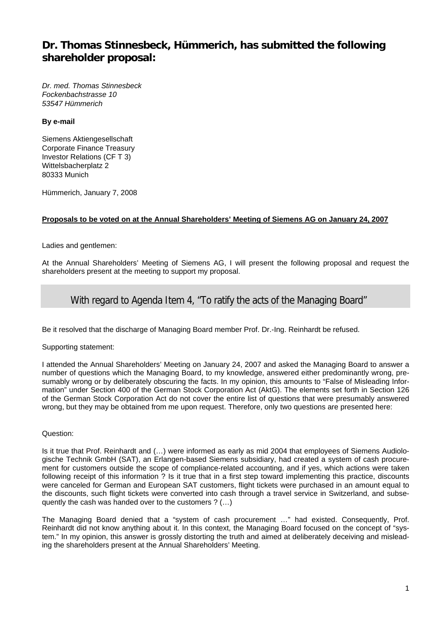## **Dr. Thomas Stinnesbeck, Hümmerich, has submitted the following shareholder proposal:**

*Dr. med. Thomas Stinnesbeck Fockenbachstrasse 10 53547 Hümmerich* 

#### **By e-mail**

Siemens Aktiengesellschaft Corporate Finance Treasury Investor Relations (CF T 3) Wittelsbacherplatz 2 80333 Munich

Hümmerich, January 7, 2008

#### **Proposals to be voted on at the Annual Shareholders' Meeting of Siemens AG on January 24, 2007**

Ladies and gentlemen:

At the Annual Shareholders' Meeting of Siemens AG, I will present the following proposal and request the shareholders present at the meeting to support my proposal.

### **A** With regard to Agenda Item 4, "To ratify the acts of the Managing Board"

Be it resolved that the discharge of Managing Board member Prof. Dr.-Ing. Reinhardt be refused.

#### Supporting statement:

I attended the Annual Shareholders' Meeting on January 24, 2007 and asked the Managing Board to answer a number of questions which the Managing Board, to my knowledge, answered either predominantly wrong, presumably wrong or by deliberately obscuring the facts. In my opinion, this amounts to "False of Misleading Information" under Section 400 of the German Stock Corporation Act (AktG). The elements set forth in Section 126 of the German Stock Corporation Act do not cover the entire list of questions that were presumably answered wrong, but they may be obtained from me upon request. Therefore, only two questions are presented here:

#### Question:

Is it true that Prof. Reinhardt and (…) were informed as early as mid 2004 that employees of Siemens Audiologische Technik GmbH (SAT), an Erlangen-based Siemens subsidiary, had created a system of cash procurement for customers outside the scope of compliance-related accounting, and if yes, which actions were taken following receipt of this information ? Is it true that in a first step toward implementing this practice, discounts were canceled for German and European SAT customers, flight tickets were purchased in an amount equal to the discounts, such flight tickets were converted into cash through a travel service in Switzerland, and subsequently the cash was handed over to the customers ? (…)

The Managing Board denied that a "system of cash procurement …" had existed. Consequently, Prof. Reinhardt did not know anything about it. In this context, the Managing Board focused on the concept of "system." In my opinion, this answer is grossly distorting the truth and aimed at deliberately deceiving and misleading the shareholders present at the Annual Shareholders' Meeting.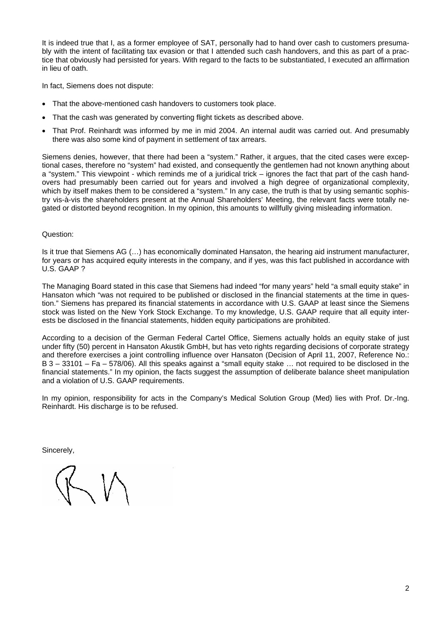It is indeed true that I, as a former employee of SAT, personally had to hand over cash to customers presumably with the intent of facilitating tax evasion or that I attended such cash handovers, and this as part of a practice that obviously had persisted for years. With regard to the facts to be substantiated, I executed an affirmation in lieu of oath.

In fact, Siemens does not dispute:

- That the above-mentioned cash handovers to customers took place.
- That the cash was generated by converting flight tickets as described above.
- That Prof. Reinhardt was informed by me in mid 2004. An internal audit was carried out. And presumably there was also some kind of payment in settlement of tax arrears.

Siemens denies, however, that there had been a "system." Rather, it argues, that the cited cases were exceptional cases, therefore no "system" had existed, and consequently the gentlemen had not known anything about a "system." This viewpoint - which reminds me of a juridical trick – ignores the fact that part of the cash handovers had presumably been carried out for years and involved a high degree of organizational complexity, which by itself makes them to be considered a "system." In any case, the truth is that by using semantic sophistry vis-à-vis the shareholders present at the Annual Shareholders' Meeting, the relevant facts were totally negated or distorted beyond recognition. In my opinion, this amounts to willfully giving misleading information.

#### Question:

Is it true that Siemens AG (…) has economically dominated Hansaton, the hearing aid instrument manufacturer, for years or has acquired equity interests in the company, and if yes, was this fact published in accordance with U.S. GAAP ?

The Managing Board stated in this case that Siemens had indeed "for many years" held "a small equity stake" in Hansaton which "was not required to be published or disclosed in the financial statements at the time in question." Siemens has prepared its financial statements in accordance with U.S. GAAP at least since the Siemens stock was listed on the New York Stock Exchange. To my knowledge, U.S. GAAP require that all equity interests be disclosed in the financial statements, hidden equity participations are prohibited.

According to a decision of the German Federal Cartel Office, Siemens actually holds an equity stake of just under fifty (50) percent in Hansaton Akustik GmbH, but has veto rights regarding decisions of corporate strategy and therefore exercises a joint controlling influence over Hansaton (Decision of April 11, 2007, Reference No.: B 3 – 33101 – Fa – 578/06). All this speaks against a "small equity stake … not required to be disclosed in the financial statements." In my opinion, the facts suggest the assumption of deliberate balance sheet manipulation and a violation of U.S. GAAP requirements.

In my opinion, responsibility for acts in the Company's Medical Solution Group (Med) lies with Prof. Dr.-Ing. Reinhardt. His discharge is to be refused.

Sincerely,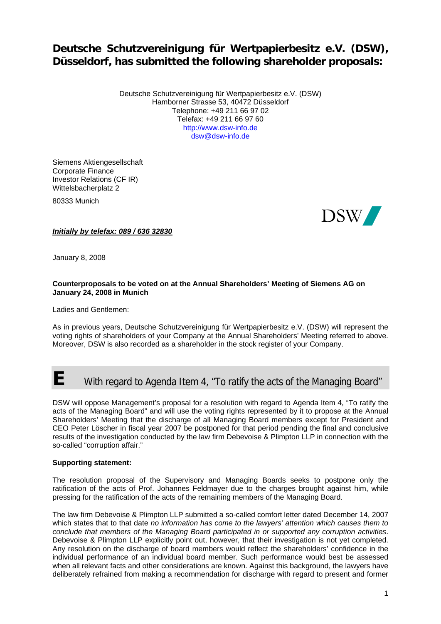# **Deutsche Schutzvereinigung für Wertpapierbesitz e.V. (DSW), Düsseldorf, has submitted the following shareholder proposals:**

Deutsche Schutzvereinigung für Wertpapierbesitz e.V. (DSW) Hamborner Strasse 53, 40472 Düsseldorf Telephone: +49 211 66 97 02 Telefax: +49 211 66 97 60 http://www.dsw-info.de dsw@dsw-info.de

Siemens Aktiengesellschaft Corporate Finance Investor Relations (CF IR) Wittelsbacherplatz 2

80333 Munich



*Initially by telefax: 089 / 636 32830*

January 8, 2008

#### **Counterproposals to be voted on at the Annual Shareholders' Meeting of Siemens AG on January 24, 2008 in Munich**

Ladies and Gentlemen:

As in previous years, Deutsche Schutzvereinigung für Wertpapierbesitz e.V. (DSW) will represent the voting rights of shareholders of your Company at the Annual Shareholders' Meeting referred to above. Moreover, DSW is also recorded as a shareholder in the stock register of your Company.

# **E** With regard to Agenda Item 4, "To ratify the acts of the Managing Board"

DSW will oppose Management's proposal for a resolution with regard to Agenda Item 4, "To ratify the acts of the Managing Board" and will use the voting rights represented by it to propose at the Annual Shareholders' Meeting that the discharge of all Managing Board members except for President and CEO Peter Löscher in fiscal year 2007 be postponed for that period pending the final and conclusive results of the investigation conducted by the law firm Debevoise & Plimpton LLP in connection with the so-called "corruption affair."

#### **Supporting statement:**

The resolution proposal of the Supervisory and Managing Boards seeks to postpone only the ratification of the acts of Prof. Johannes Feldmayer due to the charges brought against him, while pressing for the ratification of the acts of the remaining members of the Managing Board.

The law firm Debevoise & Plimpton LLP submitted a so-called comfort letter dated December 14, 2007 which states that to that date *no information has come to the lawyers' attention which causes them to conclude that members of the Managing Board participated in or supported any corruption activities*. Debevoise & Plimpton LLP explicitly point out, however, that their investigation is not yet completed. Any resolution on the discharge of board members would reflect the shareholders' confidence in the individual performance of an individual board member. Such performance would best be assessed when all relevant facts and other considerations are known. Against this background, the lawyers have deliberately refrained from making a recommendation for discharge with regard to present and former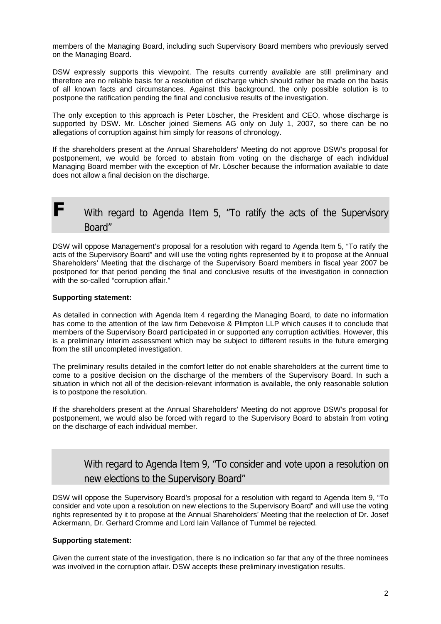members of the Managing Board, including such Supervisory Board members who previously served on the Managing Board.

DSW expressly supports this viewpoint. The results currently available are still preliminary and therefore are no reliable basis for a resolution of discharge which should rather be made on the basis of all known facts and circumstances. Against this background, the only possible solution is to postpone the ratification pending the final and conclusive results of the investigation.

The only exception to this approach is Peter Löscher, the President and CEO, whose discharge is supported by DSW. Mr. Löscher joined Siemens AG only on July 1, 2007, so there can be no allegations of corruption against him simply for reasons of chronology.

If the shareholders present at the Annual Shareholders' Meeting do not approve DSW's proposal for postponement, we would be forced to abstain from voting on the discharge of each individual Managing Board member with the exception of Mr. Löscher because the information available to date does not allow a final decision on the discharge.

# **F** With regard to Agenda Item 5, "To ratify the acts of the Supervisory Board"

DSW will oppose Management's proposal for a resolution with regard to Agenda Item 5, "To ratify the acts of the Supervisory Board" and will use the voting rights represented by it to propose at the Annual Shareholders' Meeting that the discharge of the Supervisory Board members in fiscal year 2007 be postponed for that period pending the final and conclusive results of the investigation in connection with the so-called "corruption affair."

#### **Supporting statement:**

As detailed in connection with Agenda Item 4 regarding the Managing Board, to date no information has come to the attention of the law firm Debevoise & Plimpton LLP which causes it to conclude that members of the Supervisory Board participated in or supported any corruption activities. However, this is a preliminary interim assessment which may be subject to different results in the future emerging from the still uncompleted investigation.

The preliminary results detailed in the comfort letter do not enable shareholders at the current time to come to a positive decision on the discharge of the members of the Supervisory Board. In such a situation in which not all of the decision-relevant information is available, the only reasonable solution is to postpone the resolution.

If the shareholders present at the Annual Shareholders' Meeting do not approve DSW's proposal for postponement, we would also be forced with regard to the Supervisory Board to abstain from voting on the discharge of each individual member.

**X** With regard to Agenda Item 9, "To consider and vote upon a resolution on new elections to the Supervisory Board"

DSW will oppose the Supervisory Board's proposal for a resolution with regard to Agenda Item 9, "To consider and vote upon a resolution on new elections to the Supervisory Board" and will use the voting rights represented by it to propose at the Annual Shareholders' Meeting that the reelection of Dr. Josef Ackermann, Dr. Gerhard Cromme and Lord Iain Vallance of Tummel be rejected.

#### **Supporting statement:**

Given the current state of the investigation, there is no indication so far that any of the three nominees was involved in the corruption affair. DSW accepts these preliminary investigation results.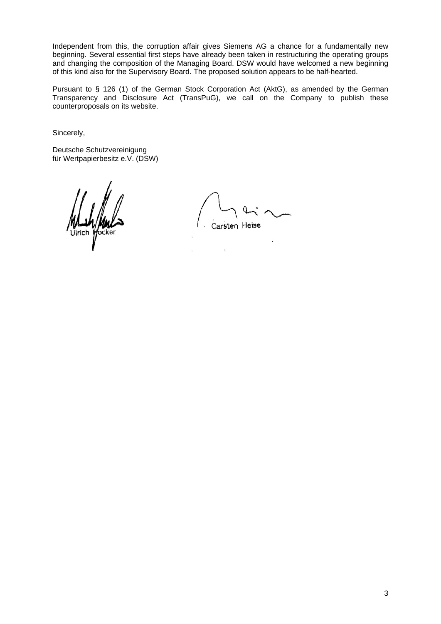Independent from this, the corruption affair gives Siemens AG a chance for a fundamentally new beginning. Several essential first steps have already been taken in restructuring the operating groups and changing the composition of the Managing Board. DSW would have welcomed a new beginning of this kind also for the Supervisory Board. The proposed solution appears to be half-hearted.

Pursuant to § 126 (1) of the German Stock Corporation Act (AktG), as amended by the German Transparency and Disclosure Act (TransPuG), we call on the Company to publish these counterproposals on its website.

Sincerely,

Deutsche Schutzvereinigung für Wertpapierbesitz e.V. (DSW)

Carsten Heise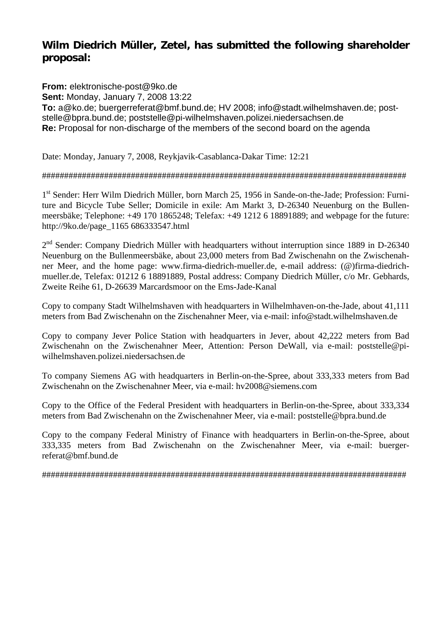## **Wilm Diedrich Müller, Zetel, has submitted the following shareholder proposal:**

**From:** elektronische-post@9ko.de **Sent:** Monday, January 7, 2008 13:22 **To:** a@ko.de; buergerreferat@bmf.bund.de; HV 2008; info@stadt.wilhelmshaven.de; poststelle@bpra.bund.de; poststelle@pi-wilhelmshaven.polizei.niedersachsen.de **Re:** Proposal for non-discharge of the members of the second board on the agenda

Date: Monday, January 7, 2008, Reykjavik-Casablanca-Dakar Time: 12:21

### ##################################################################################

1<sup>st</sup> Sender: Herr Wilm Diedrich Müller, born March 25, 1956 in Sande-on-the-Jade; Profession: Furniture and Bicycle Tube Seller; Domicile in exile: Am Markt 3, D-26340 Neuenburg on the Bullenmeersbäke; Telephone: +49 170 1865248; Telefax: +49 1212 6 18891889; and webpage for the future: http://9ko.de/page\_1165 686333547.html

2<sup>nd</sup> Sender: Company Diedrich Müller with headquarters without interruption since 1889 in D-26340 Neuenburg on the Bullenmeersbäke, about 23,000 meters from Bad Zwischenahn on the Zwischenahner Meer, and the home page: www.firma-diedrich-mueller.de, e-mail address: (@)firma-diedrichmueller.de, Telefax: 01212 6 18891889, Postal address: Company Diedrich Müller, c/o Mr. Gebhards, Zweite Reihe 61, D-26639 Marcardsmoor on the Ems-Jade-Kanal

Copy to company Stadt Wilhelmshaven with headquarters in Wilhelmhaven-on-the-Jade, about 41,111 meters from Bad Zwischenahn on the Zischenahner Meer, via e-mail: info@stadt.wilhelmshaven.de

Copy to company Jever Police Station with headquarters in Jever, about 42,222 meters from Bad Zwischenahn on the Zwischenahner Meer, Attention: Person DeWall, via e-mail: poststelle@piwilhelmshaven.polizei.niedersachsen.de

To company Siemens AG with headquarters in Berlin-on-the-Spree, about 333,333 meters from Bad Zwischenahn on the Zwischenahner Meer, via e-mail: hv2008@siemens.com

Copy to the Office of the Federal President with headquarters in Berlin-on-the-Spree, about 333,334 meters from Bad Zwischenahn on the Zwischenahner Meer, via e-mail: poststelle@bpra.bund.de

Copy to the company Federal Ministry of Finance with headquarters in Berlin-on-the-Spree, about 333,335 meters from Bad Zwischenahn on the Zwischenahner Meer, via e-mail: buergerreferat@bmf.bund.de

##################################################################################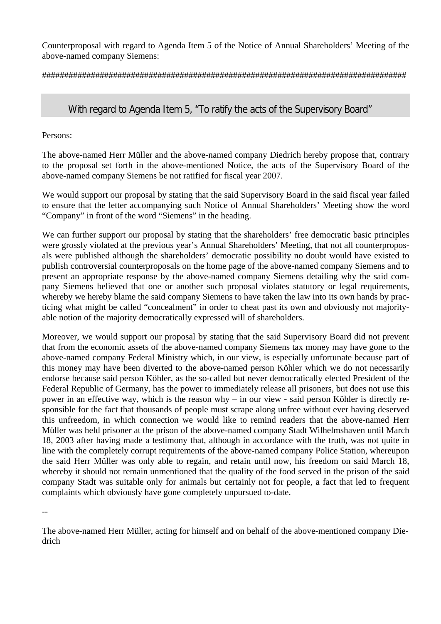Counterproposal with regard to Agenda Item 5 of the Notice of Annual Shareholders' Meeting of the above-named company Siemens:

##################################################################################

## With regard to Agenda Item 5, "To ratify the acts of the Supervisory Board"

Persons:

The above-named Herr Müller and the above-named company Diedrich hereby propose that, contrary to the proposal set forth in the above-mentioned Notice, the acts of the Supervisory Board of the above-named company Siemens be not ratified for fiscal year 2007.

We would support our proposal by stating that the said Supervisory Board in the said fiscal year failed to ensure that the letter accompanying such Notice of Annual Shareholders' Meeting show the word "Company" in front of the word "Siemens" in the heading.

We can further support our proposal by stating that the shareholders' free democratic basic principles were grossly violated at the previous year's Annual Shareholders' Meeting, that not all counterproposals were published although the shareholders' democratic possibility no doubt would have existed to publish controversial counterproposals on the home page of the above-named company Siemens and to present an appropriate response by the above-named company Siemens detailing why the said company Siemens believed that one or another such proposal violates statutory or legal requirements, whereby we hereby blame the said company Siemens to have taken the law into its own hands by practicing what might be called "concealment" in order to cheat past its own and obviously not majorityable notion of the majority democratically expressed will of shareholders.

Moreover, we would support our proposal by stating that the said Supervisory Board did not prevent that from the economic assets of the above-named company Siemens tax money may have gone to the above-named company Federal Ministry which, in our view, is especially unfortunate because part of this money may have been diverted to the above-named person Köhler which we do not necessarily endorse because said person Köhler, as the so-called but never democratically elected President of the Federal Republic of Germany, has the power to immediately release all prisoners, but does not use this power in an effective way, which is the reason why – in our view - said person Köhler is directly responsible for the fact that thousands of people must scrape along unfree without ever having deserved this unfreedom, in which connection we would like to remind readers that the above-named Herr Müller was held prisoner at the prison of the above-named company Stadt Wilhelmshaven until March 18, 2003 after having made a testimony that, although in accordance with the truth, was not quite in line with the completely corrupt requirements of the above-named company Police Station, whereupon the said Herr Müller was only able to regain, and retain until now, his freedom on said March 18, whereby it should not remain unmentioned that the quality of the food served in the prison of the said company Stadt was suitable only for animals but certainly not for people, a fact that led to frequent complaints which obviously have gone completely unpursued to-date.

--

The above-named Herr Müller, acting for himself and on behalf of the above-mentioned company Diedrich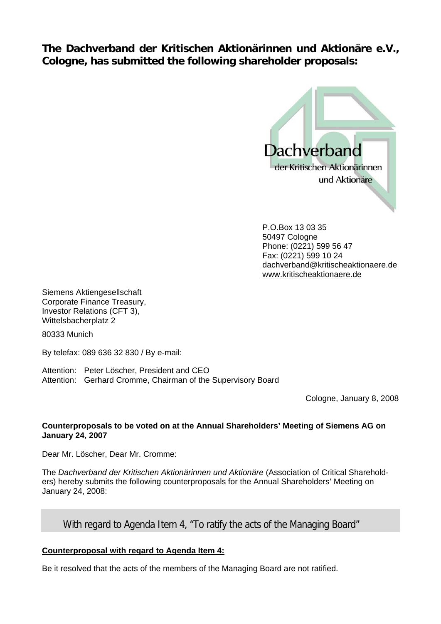**The Dachverband der Kritischen Aktionärinnen und Aktionäre e.V., Cologne, has submitted the following shareholder proposals:** 



P.O.Box 13 03 35 50497 Cologne Phone: (0221) 599 56 47 Fax: (0221) 599 10 24 dachverband@kritischeaktionaere.de www.kritischeaktionaere.de

Siemens Aktiengesellschaft Corporate Finance Treasury, Investor Relations (CFT 3), Wittelsbacherplatz 2

80333 Munich

By telefax: 089 636 32 830 / By e-mail:

Attention: Peter Löscher, President and CEO Attention: Gerhard Cromme, Chairman of the Supervisory Board

Cologne, January 8, 2008

#### **Counterproposals to be voted on at the Annual Shareholders' Meeting of Siemens AG on January 24, 2007**

Dear Mr. Löscher, Dear Mr. Cromme:

The *Dachverband der Kritischen Aktionärinnen und Aktionäre* (Association of Critical Shareholders) hereby submits the following counterproposals for the Annual Shareholders' Meeting on January 24, 2008:

### With regard to Agenda Item 4, "To ratify the acts of the Managing Board"

### **Counterproposal with regard to Agenda Item 4:**

Be it resolved that the acts of the members of the Managing Board are not ratified.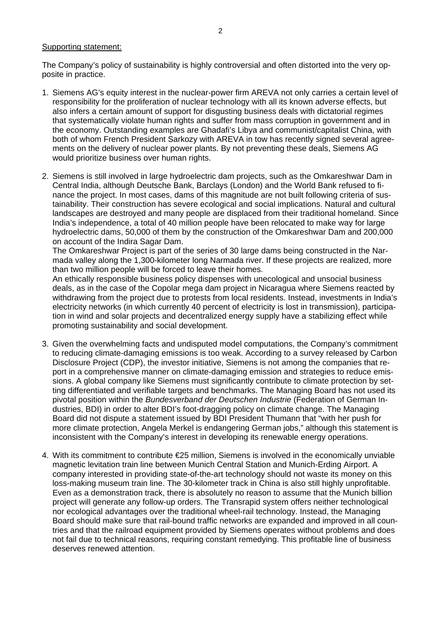#### Supporting statement:

The Company's policy of sustainability is highly controversial and often distorted into the very opposite in practice.

- 1. Siemens AG's equity interest in the nuclear-power firm AREVA not only carries a certain level of responsibility for the proliferation of nuclear technology with all its known adverse effects, but also infers a certain amount of support for disgusting business deals with dictatorial regimes that systematically violate human rights and suffer from mass corruption in government and in the economy. Outstanding examples are Ghadafi's Libya and communist/capitalist China, with both of whom French President Sarkozy with AREVA in tow has recently signed several agreements on the delivery of nuclear power plants. By not preventing these deals, Siemens AG would prioritize business over human rights.
- 2. Siemens is still involved in large hydroelectric dam projects, such as the Omkareshwar Dam in Central India, although Deutsche Bank, Barclays (London) and the World Bank refused to finance the project. In most cases, dams of this magnitude are not built following criteria of sustainability. Their construction has severe ecological and social implications. Natural and cultural landscapes are destroyed and many people are displaced from their traditional homeland. Since India's independence, a total of 40 million people have been relocated to make way for large hydroelectric dams, 50,000 of them by the construction of the Omkareshwar Dam and 200,000 on account of the Indira Sagar Dam.

The Omkareshwar Project is part of the series of 30 large dams being constructed in the Narmada valley along the 1,300-kilometer long Narmada river. If these projects are realized, more than two million people will be forced to leave their homes.

An ethically responsible business policy dispenses with unecological and unsocial business deals, as in the case of the Copolar mega dam project in Nicaragua where Siemens reacted by withdrawing from the project due to protests from local residents. Instead, investments in India's electricity networks (in which currently 40 percent of electricity is lost in transmission), participation in wind and solar projects and decentralized energy supply have a stabilizing effect while promoting sustainability and social development.

- 3. Given the overwhelming facts and undisputed model computations, the Company's commitment to reducing climate-damaging emissions is too weak. According to a survey released by Carbon Disclosure Project (CDP), the investor initiative, Siemens is not among the companies that report in a comprehensive manner on climate-damaging emission and strategies to reduce emissions. A global company like Siemens must significantly contribute to climate protection by setting differentiated and verifiable targets and benchmarks. The Managing Board has not used its pivotal position within the *Bundesverband der Deutschen Industrie* (Federation of German Industries, BDI) in order to alter BDI's foot-dragging policy on climate change. The Managing Board did not dispute a statement issued by BDI President Thumann that "with her push for more climate protection, Angela Merkel is endangering German jobs," although this statement is inconsistent with the Company's interest in developing its renewable energy operations.
- 4. With its commitment to contribute €25 million, Siemens is involved in the economically unviable magnetic levitation train line between Munich Central Station and Munich-Erding Airport. A company interested in providing state-of-the-art technology should not waste its money on this loss-making museum train line. The 30-kilometer track in China is also still highly unprofitable. Even as a demonstration track, there is absolutely no reason to assume that the Munich billion project will generate any follow-up orders. The Transrapid system offers neither technological nor ecological advantages over the traditional wheel-rail technology. Instead, the Managing Board should make sure that rail-bound traffic networks are expanded and improved in all countries and that the railroad equipment provided by Siemens operates without problems and does not fail due to technical reasons, requiring constant remedying. This profitable line of business deserves renewed attention.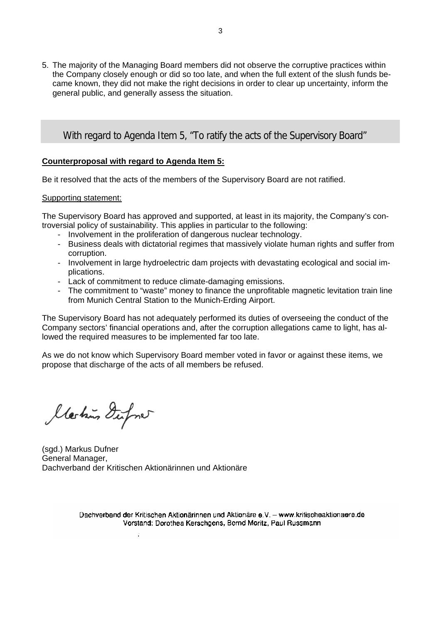5. The majority of the Managing Board members did not observe the corruptive practices within the Company closely enough or did so too late, and when the full extent of the slush funds became known, they did not make the right decisions in order to clear up uncertainty, inform the general public, and generally assess the situation.

### With regard to Agenda Item 5, "To ratify the acts of the Supervisory Board"

#### **Counterproposal with regard to Agenda Item 5:**

Be it resolved that the acts of the members of the Supervisory Board are not ratified.

#### Supporting statement:

The Supervisory Board has approved and supported, at least in its majority, the Company's controversial policy of sustainability. This applies in particular to the following:

- Involvement in the proliferation of dangerous nuclear technology.
- Business deals with dictatorial regimes that massively violate human rights and suffer from corruption.
- Involvement in large hydroelectric dam projects with devastating ecological and social implications.
- Lack of commitment to reduce climate-damaging emissions.
- The commitment to "waste" money to finance the unprofitable magnetic levitation train line from Munich Central Station to the Munich-Erding Airport.

The Supervisory Board has not adequately performed its duties of overseeing the conduct of the Company sectors' financial operations and, after the corruption allegations came to light, has allowed the required measures to be implemented far too late.

As we do not know which Supervisory Board member voted in favor or against these items, we propose that discharge of the acts of all members be refused.

llestin Dufone

(sgd.) Markus Dufner General Manager, Dachverband der Kritischen Aktionärinnen und Aktionäre

 $\cdot$ 

Dachverband der Kritischen Aktionärinnen und Aktionäre e.V. - www.kritischeaktionaere.de Vorstand: Dorothea Kerschgens, Bernd Moritz, Paul Russmann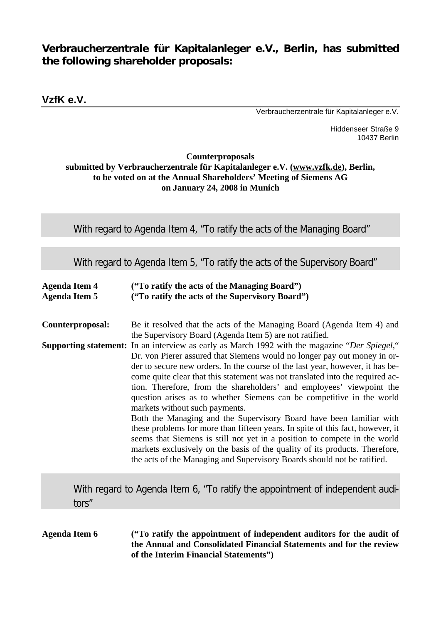# **Verbraucherzentrale für Kapitalanleger e.V., Berlin, has submitted the following shareholder proposals:**

**VzfK e.V.** 

Verbraucherzentrale für Kapitalanleger e.V.

Hiddenseer Straße 9 10437 Berlin

### **Counterproposals submitted by Verbraucherzentrale für Kapitalanleger e.V. (www.vzfk.de), Berlin, to be voted on at the Annual Shareholders' Meeting of Siemens AG on January 24, 2008 in Munich**

With regard to Agenda Item 4, "To ratify the acts of the Managing Board"

With regard to Agenda Item 5, "To ratify the acts of the Supervisory Board"

| <b>Agenda Item 4</b> | ("To ratify the acts of the Managing Board")    |
|----------------------|-------------------------------------------------|
| <b>Agenda Item 5</b> | ("To ratify the acts of the Supervisory Board") |

**Counterproposal:** Be it resolved that the acts of the Managing Board (Agenda Item 4) and the Supervisory Board (Agenda Item 5) are not ratified. **Supporting statement:** In an interview as early as March 1992 with the magazine "*Der Spiegel*," Dr. von Pierer assured that Siemens would no longer pay out money in order to secure new orders. In the course of the last year, however, it has become quite clear that this statement was not translated into the required action. Therefore, from the shareholders' and employees' viewpoint the question arises as to whether Siemens can be competitive in the world markets without such payments. Both the Managing and the Supervisory Board have been familiar with these problems for more than fifteen years. In spite of this fact, however, it

seems that Siemens is still not yet in a position to compete in the world markets exclusively on the basis of the quality of its products. Therefore, the acts of the Managing and Supervisory Boards should not be ratified.

**X** With regard to Agenda Item 6, "To ratify the appointment of independent auditors"

**Agenda Item 6 ("To ratify the appointment of independent auditors for the audit of the Annual and Consolidated Financial Statements and for the review of the Interim Financial Statements")**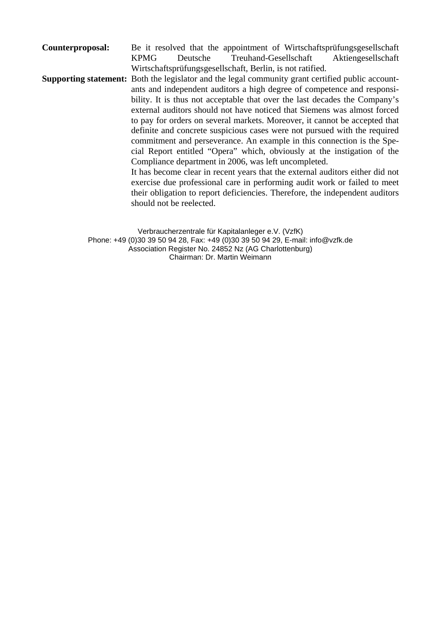**Counterproposal:** Be it resolved that the appointment of Wirtschaftsprüfungsgesellschaft KPMG Deutsche Treuhand-Gesellschaft Aktiengesellschaft Wirtschaftsprüfungsgesellschaft, Berlin, is not ratified.

**Supporting statement:** Both the legislator and the legal community grant certified public accountants and independent auditors a high degree of competence and responsibility. It is thus not acceptable that over the last decades the Company's external auditors should not have noticed that Siemens was almost forced to pay for orders on several markets. Moreover, it cannot be accepted that definite and concrete suspicious cases were not pursued with the required commitment and perseverance. An example in this connection is the Special Report entitled "Opera" which, obviously at the instigation of the Compliance department in 2006, was left uncompleted. It has become clear in recent years that the external auditors either did not

exercise due professional care in performing audit work or failed to meet their obligation to report deficiencies. Therefore, the independent auditors should not be reelected.

Verbraucherzentrale für Kapitalanleger e.V. (VzfK) Phone: +49 (0)30 39 50 94 28, Fax: +49 (0)30 39 50 94 29, E-mail: info@vzfk.de Association Register No. 24852 Nz (AG Charlottenburg) Chairman: Dr. Martin Weimann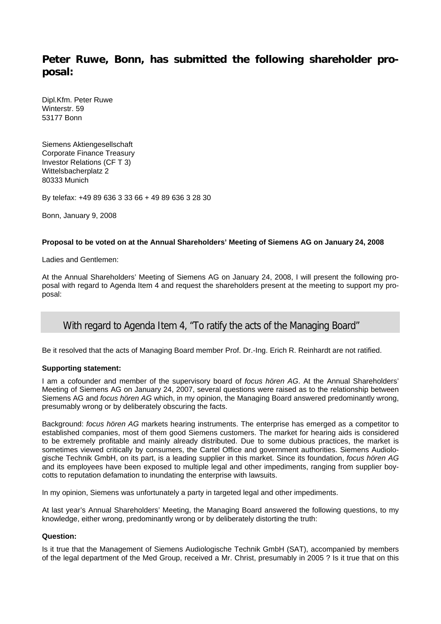## **Peter Ruwe, Bonn, has submitted the following shareholder proposal:**

Dipl.Kfm. Peter Ruwe Winterstr. 59 53177 Bonn

Siemens Aktiengesellschaft Corporate Finance Treasury Investor Relations (CF T 3) Wittelsbacherplatz 2 80333 Munich

By telefax: +49 89 636 3 33 66 + 49 89 636 3 28 30

Bonn, January 9, 2008

#### **Proposal to be voted on at the Annual Shareholders' Meeting of Siemens AG on January 24, 2008**

Ladies and Gentlemen:

At the Annual Shareholders' Meeting of Siemens AG on January 24, 2008, I will present the following proposal with regard to Agenda Item 4 and request the shareholders present at the meeting to support my proposal:

### With regard to Agenda Item 4, "To ratify the acts of the Managing Board"

Be it resolved that the acts of Managing Board member Prof. Dr.-Ing. Erich R. Reinhardt are not ratified.

#### **Supporting statement:**

I am a cofounder and member of the supervisory board of *focus hören AG*. At the Annual Shareholders' Meeting of Siemens AG on January 24, 2007, several questions were raised as to the relationship between Siemens AG and *focus hören AG* which, in my opinion, the Managing Board answered predominantly wrong, presumably wrong or by deliberately obscuring the facts.

Background: *focus hören AG* markets hearing instruments. The enterprise has emerged as a competitor to established companies, most of them good Siemens customers. The market for hearing aids is considered to be extremely profitable and mainly already distributed. Due to some dubious practices, the market is sometimes viewed critically by consumers, the Cartel Office and government authorities. Siemens Audiologische Technik GmbH, on its part, is a leading supplier in this market. Since its foundation, *focus hören AG* and its employees have been exposed to multiple legal and other impediments, ranging from supplier boycotts to reputation defamation to inundating the enterprise with lawsuits.

In my opinion, Siemens was unfortunately a party in targeted legal and other impediments.

At last year's Annual Shareholders' Meeting, the Managing Board answered the following questions, to my knowledge, either wrong, predominantly wrong or by deliberately distorting the truth:

#### **Question:**

Is it true that the Management of Siemens Audiologische Technik GmbH (SAT), accompanied by members of the legal department of the Med Group, received a Mr. Christ, presumably in 2005 ? Is it true that on this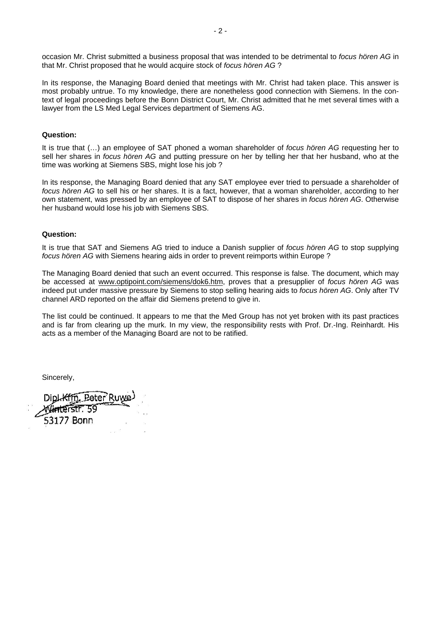occasion Mr. Christ submitted a business proposal that was intended to be detrimental to *focus hören AG* in that Mr. Christ proposed that he would acquire stock of *focus hören AG* ?

In its response, the Managing Board denied that meetings with Mr. Christ had taken place. This answer is most probably untrue. To my knowledge, there are nonetheless good connection with Siemens. In the context of legal proceedings before the Bonn District Court, Mr. Christ admitted that he met several times with a lawyer from the LS Med Legal Services department of Siemens AG.

#### **Question:**

It is true that (…) an employee of SAT phoned a woman shareholder of *focus hören AG* requesting her to sell her shares in *focus hören AG* and putting pressure on her by telling her that her husband, who at the time was working at Siemens SBS, might lose his job ?

In its response, the Managing Board denied that any SAT employee ever tried to persuade a shareholder of *focus hören AG* to sell his or her shares. It is a fact, however, that a woman shareholder, according to her own statement, was pressed by an employee of SAT to dispose of her shares in *focus hören AG*. Otherwise her husband would lose his job with Siemens SBS.

#### **Question:**

It is true that SAT and Siemens AG tried to induce a Danish supplier of *focus hören AG* to stop supplying *focus hören AG* with Siemens hearing aids in order to prevent reimports within Europe ?

The Managing Board denied that such an event occurred. This response is false. The document, which may be accessed at www.optipoint.com/siemens/dok6.htm, proves that a presupplier of *focus hören AG* was indeed put under massive pressure by Siemens to stop selling hearing aids to *focus hören AG*. Only after TV channel ARD reported on the affair did Siemens pretend to give in.

The list could be continued. It appears to me that the Med Group has not yet broken with its past practices and is far from clearing up the murk. In my view, the responsibility rests with Prof. Dr.-Ing. Reinhardt. His acts as a member of the Managing Board are not to be ratified.

Sincerely,

**Peter** 53177 Bonn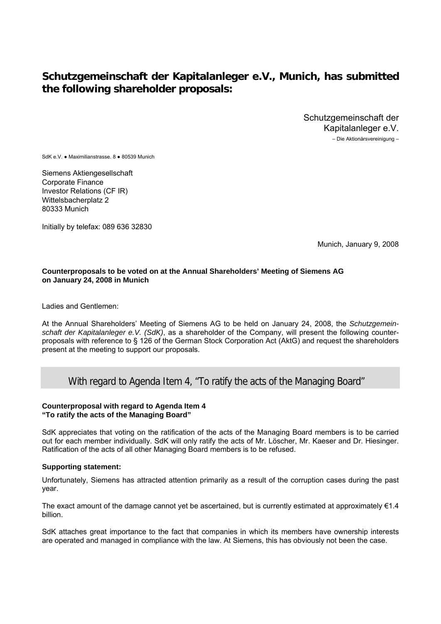## **Schutzgemeinschaft der Kapitalanleger e.V., Munich, has submitted the following shareholder proposals:**

Schutzgemeinschaft der Kapitalanleger e.V.

– Die Aktionärsvereinigung –

SdK e.V. ● Maximilianstrasse. 8 ● 80539 Munich

Siemens Aktiengesellschaft Corporate Finance Investor Relations (CF IR) Wittelsbacherplatz 2 80333 Munich

Initially by telefax: 089 636 32830

Munich, January 9, 2008

#### **Counterproposals to be voted on at the Annual Shareholders' Meeting of Siemens AG on January 24, 2008 in Munich**

Ladies and Gentlemen:

At the Annual Shareholders' Meeting of Siemens AG to be held on January 24, 2008, the *Schutzgemeinschaft der Kapitalanleger e.V. (SdK)*, as a shareholder of the Company, will present the following counterproposals with reference to § 126 of the German Stock Corporation Act (AktG) and request the shareholders present at the meeting to support our proposals.

### With regard to Agenda Item 4, "To ratify the acts of the Managing Board"

#### **Counterproposal with regard to Agenda Item 4 "To ratify the acts of the Managing Board"**

SdK appreciates that voting on the ratification of the acts of the Managing Board members is to be carried out for each member individually. SdK will only ratify the acts of Mr. Löscher, Mr. Kaeser and Dr. Hiesinger. Ratification of the acts of all other Managing Board members is to be refused.

#### **Supporting statement:**

Unfortunately, Siemens has attracted attention primarily as a result of the corruption cases during the past year.

The exact amount of the damage cannot yet be ascertained, but is currently estimated at approximately €1.4 billion.

SdK attaches great importance to the fact that companies in which its members have ownership interests are operated and managed in compliance with the law. At Siemens, this has obviously not been the case.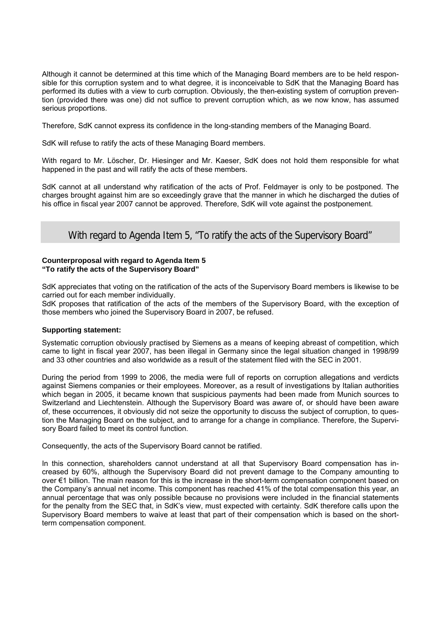Although it cannot be determined at this time which of the Managing Board members are to be held responsible for this corruption system and to what degree, it is inconceivable to SdK that the Managing Board has performed its duties with a view to curb corruption. Obviously, the then-existing system of corruption prevention (provided there was one) did not suffice to prevent corruption which, as we now know, has assumed serious proportions.

Therefore, SdK cannot express its confidence in the long-standing members of the Managing Board.

SdK will refuse to ratify the acts of these Managing Board members.

With regard to Mr. Löscher, Dr. Hiesinger and Mr. Kaeser, SdK does not hold them responsible for what happened in the past and will ratify the acts of these members.

SdK cannot at all understand why ratification of the acts of Prof. Feldmayer is only to be postponed. The charges brought against him are so exceedingly grave that the manner in which he discharged the duties of his office in fiscal year 2007 cannot be approved. Therefore, SdK will vote against the postponement.

### With regard to Agenda Item 5, "To ratify the acts of the Supervisory Board"

#### **Counterproposal with regard to Agenda Item 5 "To ratify the acts of the Supervisory Board"**

SdK appreciates that voting on the ratification of the acts of the Supervisory Board members is likewise to be carried out for each member individually.

SdK proposes that ratification of the acts of the members of the Supervisory Board, with the exception of those members who joined the Supervisory Board in 2007, be refused.

#### **Supporting statement:**

Systematic corruption obviously practised by Siemens as a means of keeping abreast of competition, which came to light in fiscal year 2007, has been illegal in Germany since the legal situation changed in 1998/99 and 33 other countries and also worldwide as a result of the statement filed with the SEC in 2001.

During the period from 1999 to 2006, the media were full of reports on corruption allegations and verdicts against Siemens companies or their employees. Moreover, as a result of investigations by Italian authorities which began in 2005, it became known that suspicious payments had been made from Munich sources to Switzerland and Liechtenstein. Although the Supervisory Board was aware of, or should have been aware of, these occurrences, it obviously did not seize the opportunity to discuss the subject of corruption, to question the Managing Board on the subject, and to arrange for a change in compliance. Therefore, the Supervisory Board failed to meet its control function.

Consequently, the acts of the Supervisory Board cannot be ratified.

In this connection, shareholders cannot understand at all that Supervisory Board compensation has increased by 60%, although the Supervisory Board did not prevent damage to the Company amounting to over €1 billion. The main reason for this is the increase in the short-term compensation component based on the Company's annual net income. This component has reached 41% of the total compensation this year, an annual percentage that was only possible because no provisions were included in the financial statements for the penalty from the SEC that, in SdK's view, must expected with certainty. SdK therefore calls upon the Supervisory Board members to waive at least that part of their compensation which is based on the shortterm compensation component.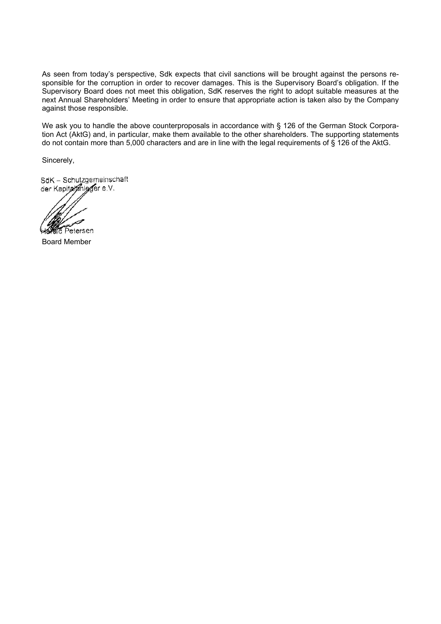As seen from today's perspective, Sdk expects that civil sanctions will be brought against the persons responsible for the corruption in order to recover damages. This is the Supervisory Board's obligation. If the Supervisory Board does not meet this obligation, SdK reserves the right to adopt suitable measures at the next Annual Shareholders' Meeting in order to ensure that appropriate action is taken also by the Company against those responsible.

We ask you to handle the above counterproposals in accordance with § 126 of the German Stock Corporation Act (AktG) and, in particular, make them available to the other shareholders. The supporting statements do not contain more than 5,000 characters and are in line with the legal requirements of § 126 of the AktG.

Sincerely,

SdK - Schutzgemeinschaft der Kapitalanlager e.V.

la Petersen

Board Member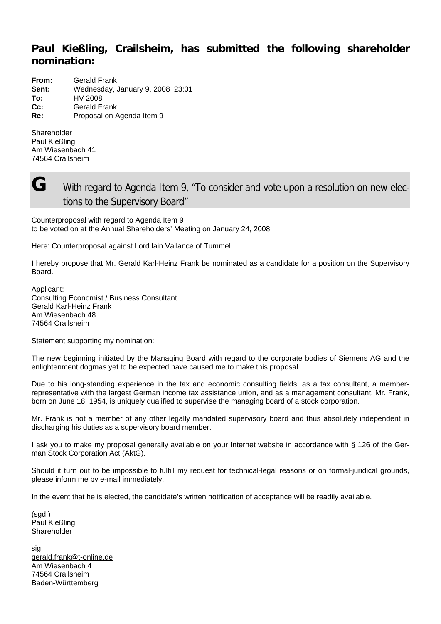# **Paul Kießling, Crailsheim, has submitted the following shareholder nomination:**

| From:  | Gerald Frank                     |
|--------|----------------------------------|
| Sent:  | Wednesday, January 9, 2008 23:01 |
| To:    | HV 2008                          |
| $Cc$ : | <b>Gerald Frank</b>              |
| Re:    | Proposal on Agenda Item 9        |

Shareholder Paul Kießling Am Wiesenbach 41 74564 Crailsheim



**G** With regard to Agenda Item 9, "To consider and vote upon a resolution on new elections to the Supervisory Board"

Counterproposal with regard to Agenda Item 9 to be voted on at the Annual Shareholders' Meeting on January 24, 2008

Here: Counterproposal against Lord lain Vallance of Tummel

I hereby propose that Mr. Gerald Karl-Heinz Frank be nominated as a candidate for a position on the Supervisory Board.

Applicant: Consulting Economist / Business Consultant Gerald Karl-Heinz Frank Am Wiesenbach 48 74564 Crailsheim

Statement supporting my nomination:

The new beginning initiated by the Managing Board with regard to the corporate bodies of Siemens AG and the enlightenment dogmas yet to be expected have caused me to make this proposal.

Due to his long-standing experience in the tax and economic consulting fields, as a tax consultant, a memberrepresentative with the largest German income tax assistance union, and as a management consultant, Mr. Frank, born on June 18, 1954, is uniquely qualified to supervise the managing board of a stock corporation.

Mr. Frank is not a member of any other legally mandated supervisory board and thus absolutely independent in discharging his duties as a supervisory board member.

I ask you to make my proposal generally available on your Internet website in accordance with § 126 of the German Stock Corporation Act (AktG).

Should it turn out to be impossible to fulfill my request for technical-legal reasons or on formal-juridical grounds, please inform me by e-mail immediately.

In the event that he is elected, the candidate's written notification of acceptance will be readily available.

(sgd.) Paul Kießling **Shareholder** 

sig. gerald.frank@t-online.de Am Wiesenbach 4 74564 Crailsheim Baden-Württemberg